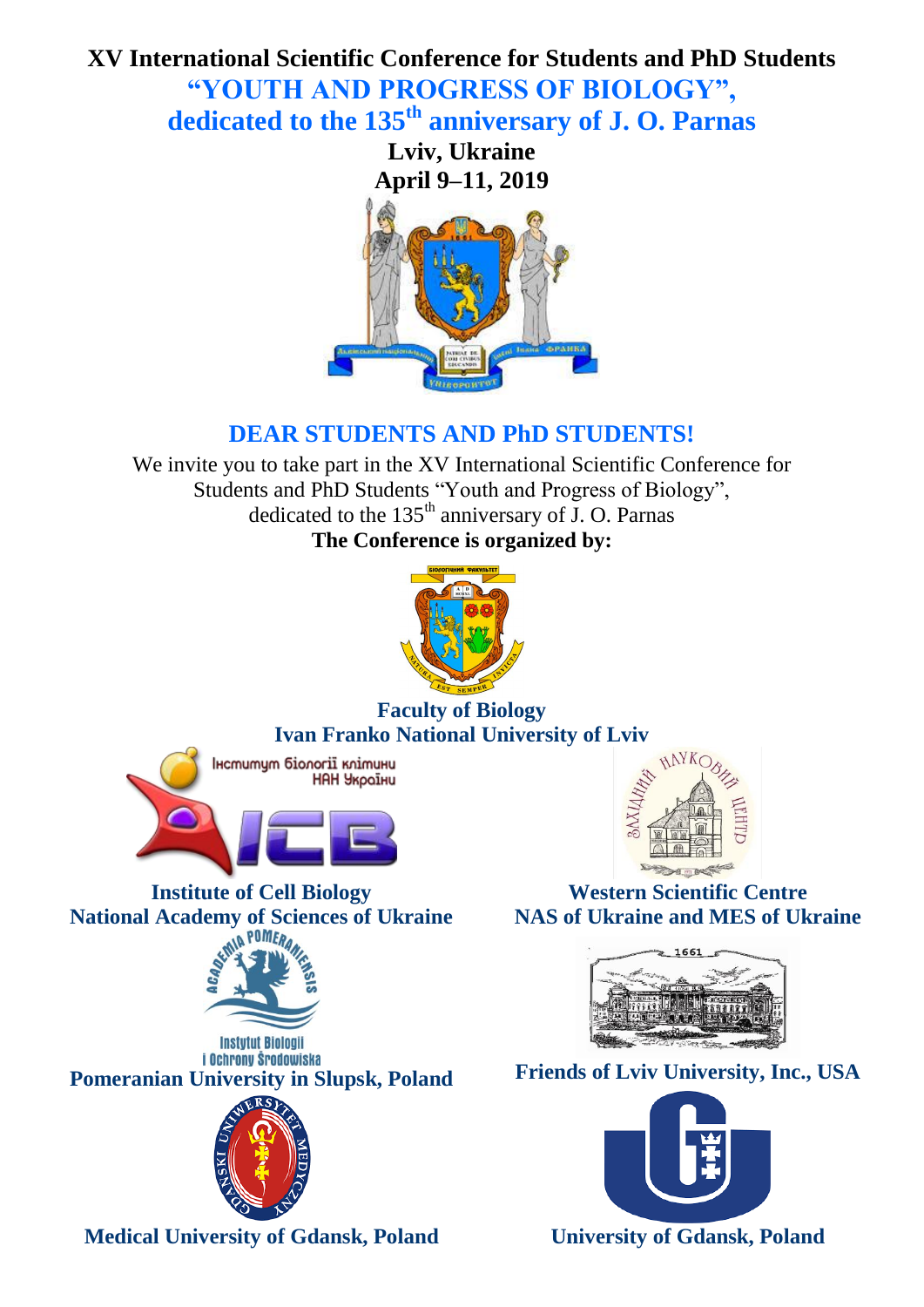# **XV International Scientific Conference for Students and PhD Students "YOUTH AND PROGRESS OF BIOLOGY", dedicated to the 135th anniversary of J. O. Parnas**

**Lviv, Ukraine April 9–11, 2019**



# **DEAR STUDENTS AND PhD STUDENTS!**

We invite you to take part in the XV International Scientific Conference for Students and PhD Students "Youth and Progress of Biology", dedicated to the  $135<sup>th</sup>$  anniversary of J. O. Parnas **The Conference is organized by:**



# **Faculty of Biology Ivan Franko National University of Lviv**



**Institute of Cell Biology National Academy of Sciences of Ukraine**













**Medical University of Gdansk, Poland University of Gdansk, Poland**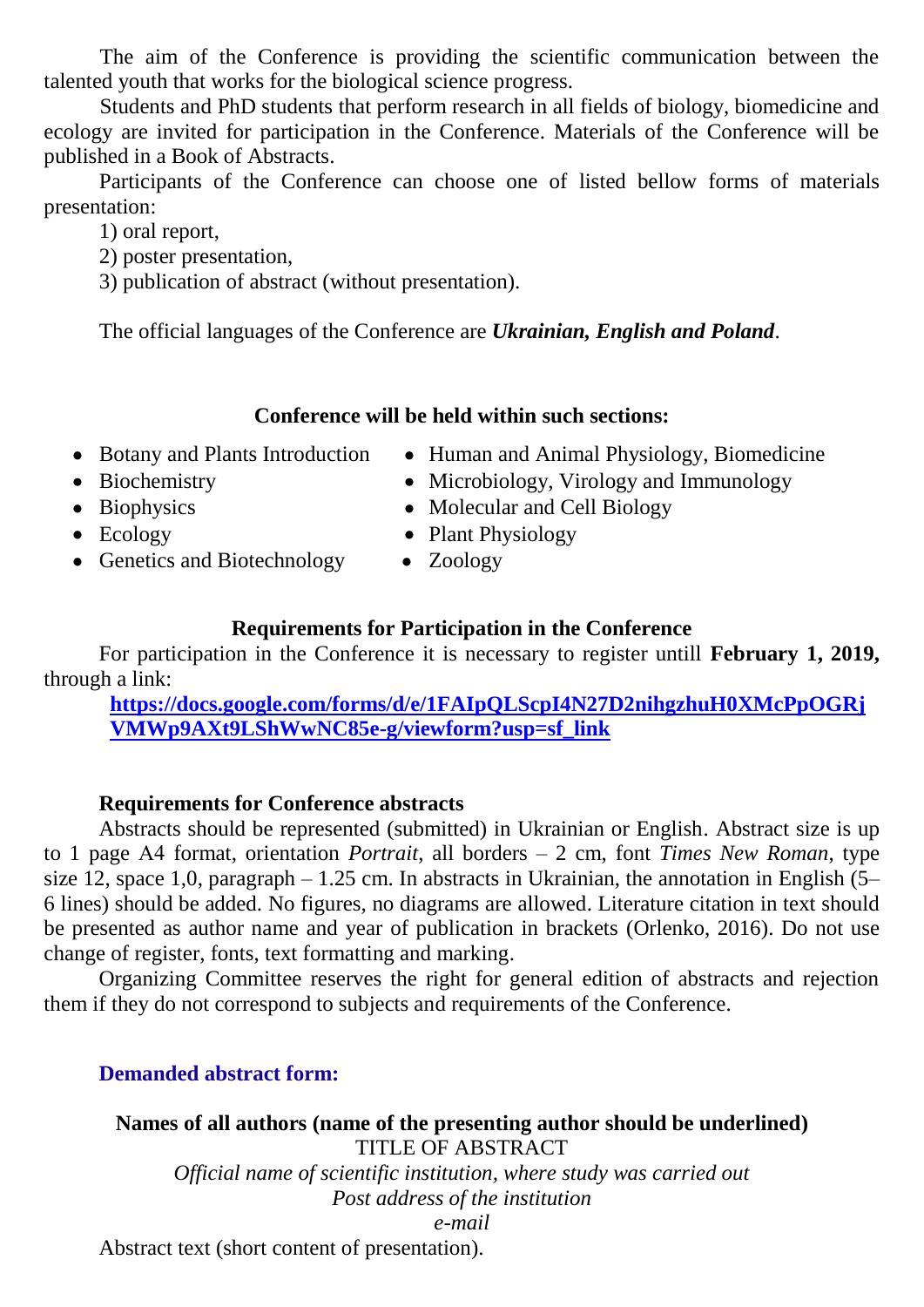The aim of the Conference is providing the scientific communication between the talented youth that works for the biological science progress.

Students and PhD students that perform research in all fields of biology, biomedicine and ecology are invited for participation in the Conference. Materials of the Conference will be published in a Book of Abstracts.

Participants of the Conference can choose one of listed bellow forms of materials presentation:

1) oral report,

- 2) poster presentation,
- 3) publication of abstract (without presentation).

The official languages of the Conference are *Ukrainian, English and Poland*.

# **Conference will be held within such sections:**

- Botany and Plants Introduction
- Human and Animal Physiology, Biomedicine

• Microbiology, Virology and Immunology

- Biochemistry
- Biophysics

• Ecology

- Molecular and Cell Biology • Plant Physiology
- Genetics and Biotechnology
- Zoology

# **Requirements for Participation in the Conference**

For participation in the Conference it is necessary to register untill **February 1, 2019,** through a link:

**[https://docs.google.com/forms/d/e/1FAIpQLScpI4N27D2nihgzhuH0XMcPpOGRj](https://docs.google.com/forms/d/e/1FAIpQLScpI4N27D2nihgzhuH0XMcPpOGRjVMWp9AXt9LShWwNC85e-g/viewform?usp=sf_link) [VMWp9AXt9LShWwNC85e-g/viewform?usp=sf\\_link](https://docs.google.com/forms/d/e/1FAIpQLScpI4N27D2nihgzhuH0XMcPpOGRjVMWp9AXt9LShWwNC85e-g/viewform?usp=sf_link)**

# **Requirements for Conference abstracts**

Abstracts should be represented (submitted) in Ukrainian or English. Abstract size is up to 1 page А4 format, orientation *Portrait*, all borders – 2 cm, font *Times New Roman*, type size 12, space 1,0, paragraph – 1.25 cm. In abstracts in Ukrainian, the annotation in English  $(5-$ 6 lines) should be added. No figures, no diagrams are allowed. Literature citation in text should be presented as author name and year of publication in brackets (Orlenko, 2016). Do not use change of register, fonts, text formatting and marking.

Organizing Committee reserves the right for general edition of abstracts and rejection them if they do not correspond to subjects and requirements of the Conference.

# **Demanded abstract form:**

**Names of all authors (name of the presenting author should be underlined)** TITLE OF ABSTRACT *Official name of scientific institution, where study was carried out Post address of the institution e-mail* Abstract text (short content of presentation).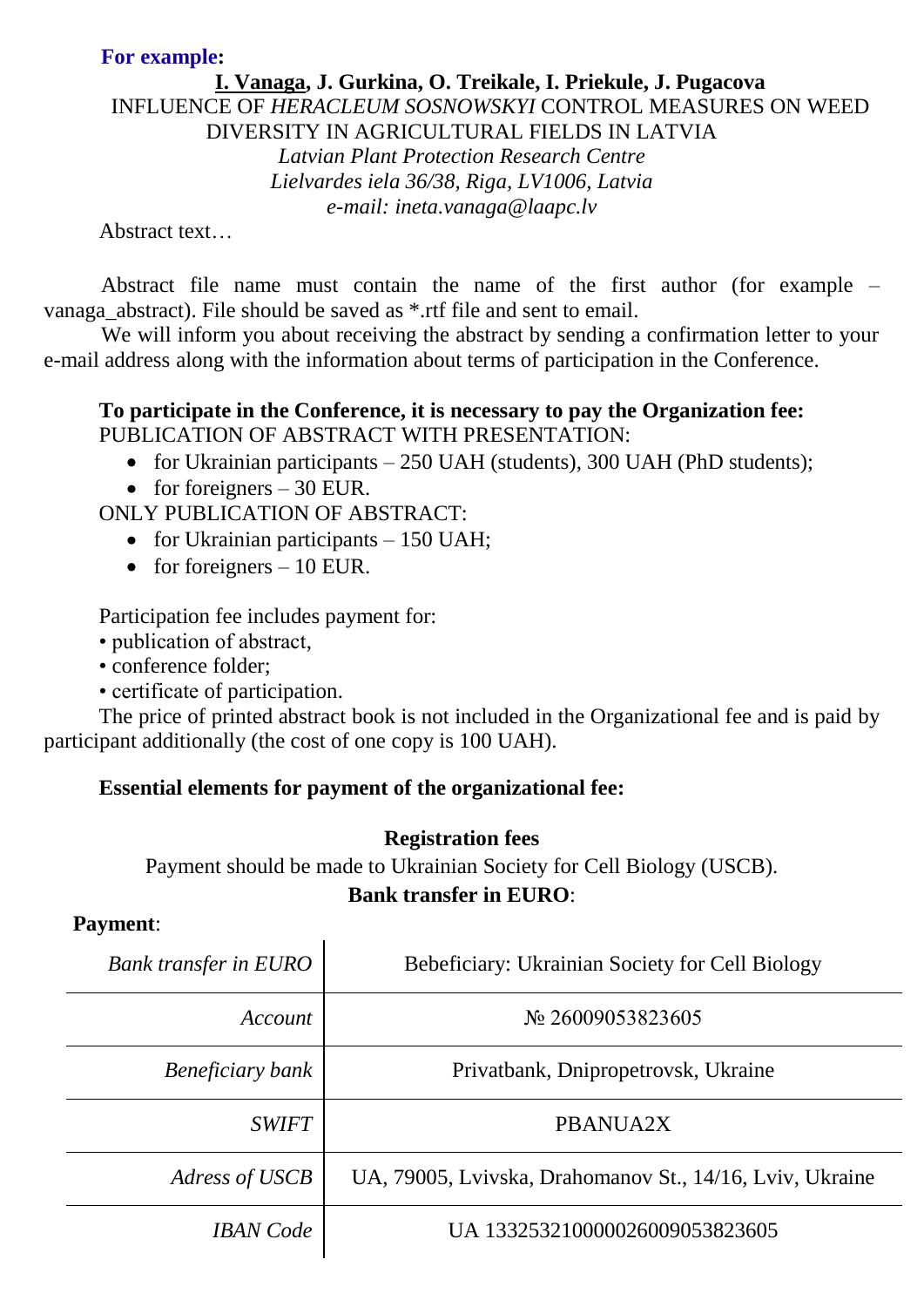### **For example:**

### **I. Vanaga, J. Gurkina, O. Treikale, I. Priekule, J. Pugacova** INFLUENCE OF *HERACLEUM SOSNOWSKYI* CONTROL MEASURES ON WEED DIVERSITY IN AGRICULTURAL FIELDS IN LATVIA *Latvian Plant Protection Research Centre Lielvardes iela 36/38, Riga, LV1006, Latvia e-mail: ineta.vanaga@laapc.lv*

Abstract text…

Abstract file name must contain the name of the first author (for example – vanaga\_abstract). File should be saved as \*.rtf file and sent to email.

We will inform you about receiving the abstract by sending a confirmation letter to your e-mail address along with the information about terms of participation in the Conference.

#### **To participate in the Conference, it is necessary to pay the Organization fee:** PUBLICATION OF ABSTRACT WITH PRESENTATION:

- for Ukrainian participants 250 UAH (students), 300 UAH (PhD students);
- for foreigners  $-30$  EUR.

# ONLY PUBLICATION OF ABSTRACT:

- for Ukrainian participants  $-150$  UAH;
- for foreigners  $-10$  EUR.

Participation fee includes payment for:

- publication of abstract,
- conference folder;
- certificate of participation.

The price of printed abstract book is not included in the Organizational fee and is paid by participant additionally (the cost of one copy is 100 UAH).

# **Essential elements for payment of the organizational fee:**

### **Registration fees**

Payment should be made to Ukrainian Society for Cell Biology (USCB). **Bank transfer in EURO**:

### **Payment**:

| <b>Bank transfer in EURO</b> | Bebeficiary: Ukrainian Society for Cell Biology          |
|------------------------------|----------------------------------------------------------|
| Account                      | № 26009053823605                                         |
| Beneficiary bank             | Privatbank, Dnipropetrovsk, Ukraine                      |
| <b>SWIFT</b>                 | PBANUA2X                                                 |
| Adress of USCB               | UA, 79005, Lvivska, Drahomanov St., 14/16, Lviv, Ukraine |
| <b>IBAN</b> Code             | UA 133253210000026009053823605                           |